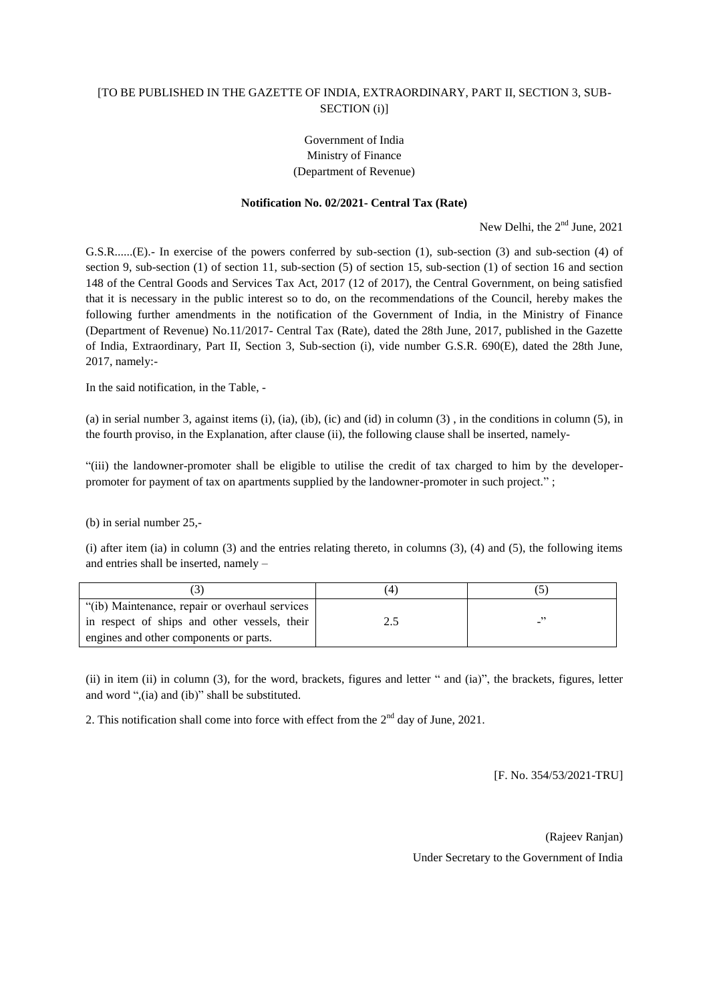## [TO BE PUBLISHED IN THE GAZETTE OF INDIA, EXTRAORDINARY, PART II, SECTION 3, SUB-SECTION (i)]

## Government of India Ministry of Finance (Department of Revenue)

## **Notification No. 02/2021- Central Tax (Rate)**

New Delhi, the  $2<sup>nd</sup>$  June, 2021

G.S.R......(E).- In exercise of the powers conferred by sub-section (1), sub-section (3) and sub-section (4) of section 9, sub-section (1) of section 11, sub-section (5) of section 15, sub-section (1) of section 16 and section 148 of the Central Goods and Services Tax Act, 2017 (12 of 2017), the Central Government, on being satisfied that it is necessary in the public interest so to do, on the recommendations of the Council, hereby makes the following further amendments in the notification of the Government of India, in the Ministry of Finance (Department of Revenue) No.11/2017- Central Tax (Rate), dated the 28th June, 2017, published in the Gazette of India, Extraordinary, Part II, Section 3, Sub-section (i), vide number G.S.R. 690(E), dated the 28th June, 2017, namely:-

In the said notification, in the Table, -

(a) in serial number 3, against items (i), (ia), (ib), (ic) and (id) in column  $(3)$ , in the conditions in column  $(5)$ , in the fourth proviso, in the Explanation, after clause (ii), the following clause shall be inserted, namely-

"(iii) the landowner-promoter shall be eligible to utilise the credit of tax charged to him by the developerpromoter for payment of tax on apartments supplied by the landowner-promoter in such project." ;

(b) in serial number 25,-

(i) after item (ia) in column (3) and the entries relating thereto, in columns (3), (4) and (5), the following items and entries shall be inserted, namely –

| "(ib) Maintenance, repair or overhaul services |  |
|------------------------------------------------|--|
| in respect of ships and other vessels, their   |  |
| engines and other components or parts.         |  |

(ii) in item (ii) in column (3), for the word, brackets, figures and letter " and (ia)", the brackets, figures, letter and word ",(ia) and (ib)" shall be substituted.

2. This notification shall come into force with effect from the  $2<sup>nd</sup>$  day of June, 2021.

[F. No. 354/53/2021-TRU]

(Rajeev Ranjan) Under Secretary to the Government of India